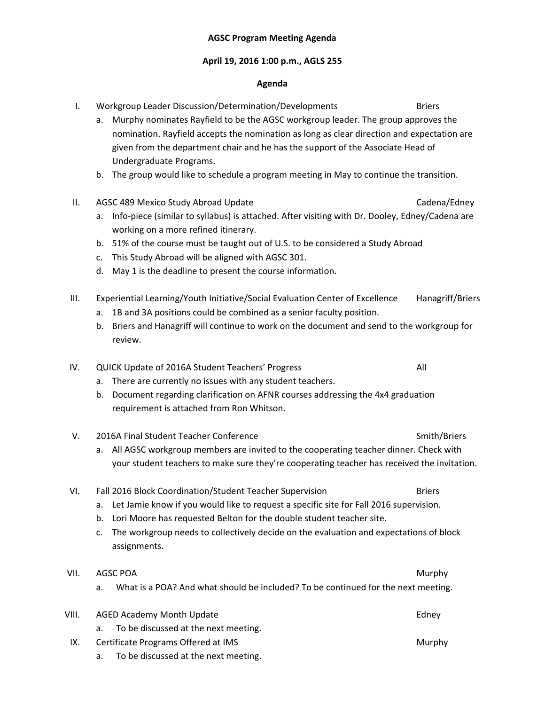#### **AGSC Program Meeting Agenda**

#### **April 19, 2016 1:00 p.m., AGLS 255**

#### **Agenda**

a. Murphy nominates Rayfield to be the AGSC workgroup leader. The group approves the

given from the department chair and he has the support of the Associate Head of

b. The group would like to schedule a program meeting in May to continue the transition.

II. AGSC 489 Mexico Study Abroad Update Cadena/Edney a. Info‐piece (similar to syllabus) is attached. After visiting with Dr. Dooley, Edney/Cadena are

nomination. Rayfield accepts the nomination as long as clear direction and expectation are

I. Workgroup Leader Discussion/Determination/Developments Briers

|              | a.<br>There are currently no issues with any student teachers.<br>Document regarding clarification on AFNR courses addressing the 4x4 graduation<br>b.<br>requirement is attached from Ron Whitson.                                                                                                                                                    |               |
|--------------|--------------------------------------------------------------------------------------------------------------------------------------------------------------------------------------------------------------------------------------------------------------------------------------------------------------------------------------------------------|---------------|
| V.           | 2016A Final Student Teacher Conference<br>Smith/Briers<br>All AGSC workgroup members are invited to the cooperating teacher dinner. Check with<br>a.<br>your student teachers to make sure they're cooperating teacher has received the invitation.                                                                                                    |               |
| VI.          | Fall 2016 Block Coordination/Student Teacher Supervision<br>Let Jamie know if you would like to request a specific site for Fall 2016 supervision.<br>a.<br>Lori Moore has requested Belton for the double student teacher site.<br>b.<br>The workgroup needs to collectively decide on the evaluation and expectations of block<br>c.<br>assignments. | <b>Briers</b> |
| VII.         | AGSC POA<br>What is a POA? And what should be included? To be continued for the next meeting.<br>a.                                                                                                                                                                                                                                                    | Murphy        |
| VIII.        | <b>AGED Academy Month Update</b><br>To be discussed at the next meeting.<br>a.                                                                                                                                                                                                                                                                         | Edney         |
| $\mathbf{N}$ | Captificate Dragmans Offersed at IMC                                                                                                                                                                                                                                                                                                                   |               |

There are currently no issues with any student teachers.

Undergraduate Programs.

working on a more refined itinerary.

c. This Study Abroad will be aligned with AGSC 301.

d. May 1 is the deadline to present the course information.

b. 51% of the course must be taught out of U.S. to be considered a Study Abroad

- b. Briers and Hanagriff will continue to work on the document and send to the workgroup for
- a. 1B and 3A positions could be combined as a senior faculty position.
- 
- 
- 
- III. Experiential Learning/Youth Initiative/Social Evaluation Center of Excellence Hanagriff/Briers
	-
	-
	-
	-
- 
- review.
	-

IV. QUICK Update of 2016A Student Teachers' Progress **1998** 2016

- 
- 

- IX. Certificate Programs Offered at IMS Murphy
	- a. To be discussed at the next meeting.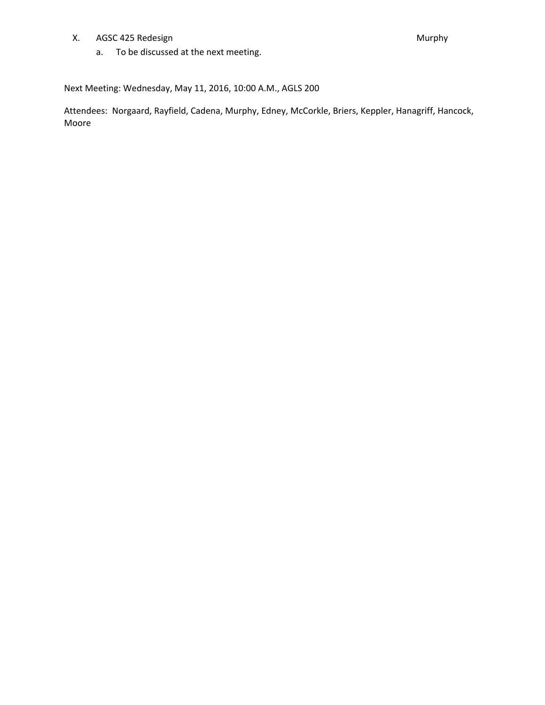X. AGSC 425 Redesign Murphy

a. To be discussed at the next meeting.

Next Meeting: Wednesday, May 11, 2016, 10:00 A.M., AGLS 200

Attendees: Norgaard, Rayfield, Cadena, Murphy, Edney, McCorkle, Briers, Keppler, Hanagriff, Hancock, Moore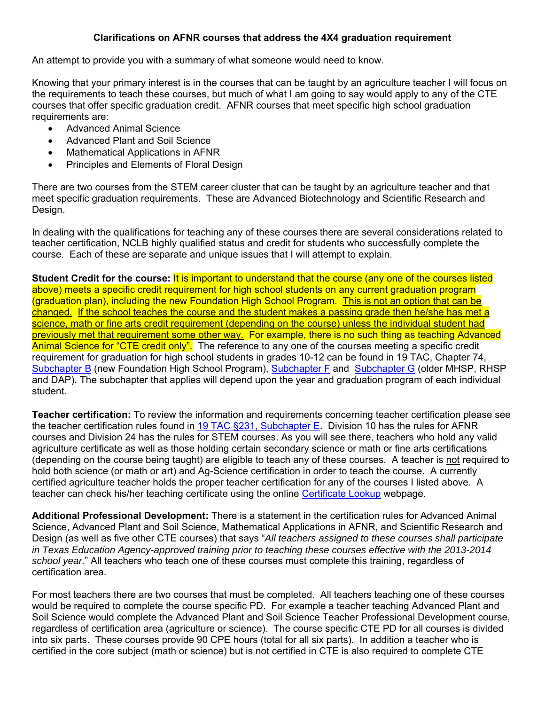## **Clarifications on AFNR courses that address the 4X4 graduation requirement**

An attempt to provide you with a summary of what someone would need to know.

Knowing that your primary interest is in the courses that can be taught by an agriculture teacher I will focus on the requirements to teach these courses, but much of what I am going to say would apply to any of the CTE courses that offer specific graduation credit. AFNR courses that meet specific high school graduation requirements are:

- Advanced Animal Science
- Advanced Plant and Soil Science
- Mathematical Applications in AFNR
- Principles and Elements of Floral Design

There are two courses from the STEM career cluster that can be taught by an agriculture teacher and that meet specific graduation requirements. These are Advanced Biotechnology and Scientific Research and Design.

In dealing with the qualifications for teaching any of these courses there are several considerations related to teacher certification, NCLB highly qualified status and credit for students who successfully complete the course. Each of these are separate and unique issues that I will attempt to explain.

**Student Credit for the course: It is important to understand that the course (any one of the courses listed** above) meets a specific credit requirement for high school students on any current graduation program (graduation plan), including the new Foundation High School Program. This is not an option that can be changed. If the school teaches the course and the student makes a passing grade then he/she has met a science, math or fine arts credit requirement (depending on the course) unless the individual student had previously met that requirement some other way. For example, there is no such thing as teaching Advanced Animal Science for "CTE credit only". The reference to any one of the courses meeting a specific credit requirement for graduation for high school students in grades 10-12 can be found in 19 TAC, Chapter 74, Subchapter B (new Foundation High School Program), Subchapter F and Subchapter G (older MHSP, RHSP and DAP). The subchapter that applies will depend upon the year and graduation program of each individual student.

**Teacher certification:** To review the information and requirements concerning teacher certification please see the teacher certification rules found in 19 TAC §231, Subchapter E. Division 10 has the rules for AFNR courses and Division 24 has the rules for STEM courses. As you will see there, teachers who hold any valid agriculture certificate as well as those holding certain secondary science or math or fine arts certifications (depending on the course being taught) are eligible to teach any of these courses. A teacher is not required to hold both science (or math or art) and Ag-Science certification in order to teach the course. A currently certified agriculture teacher holds the proper teacher certification for any of the courses I listed above. A teacher can check his/her teaching certificate using the online Certificate Lookup webpage.

**Additional Professional Development:** There is a statement in the certification rules for Advanced Animal Science, Advanced Plant and Soil Science, Mathematical Applications in AFNR, and Scientific Research and Design (as well as five other CTE courses) that says "*All teachers assigned to these courses shall participate in Texas Education Agency-approved training prior to teaching these courses effective with the 2013-2014 school year.*" All teachers who teach one of these courses must complete this training, regardless of certification area.

For most teachers there are two courses that must be completed. All teachers teaching one of these courses would be required to complete the course specific PD. For example a teacher teaching Advanced Plant and Soil Science would complete the Advanced Plant and Soil Science Teacher Professional Development course, regardless of certification area (agriculture or science). The course specific CTE PD for all courses is divided into six parts. These courses provide 90 CPE hours (total for all six parts). In addition a teacher who is certified in the core subject (math or science) but is not certified in CTE is also required to complete CTE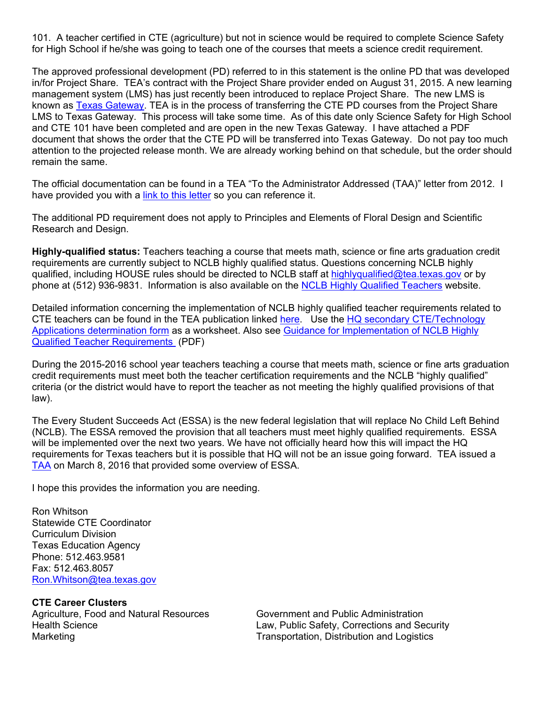101. A teacher certified in CTE (agriculture) but not in science would be required to complete Science Safety for High School if he/she was going to teach one of the courses that meets a science credit requirement.

The approved professional development (PD) referred to in this statement is the online PD that was developed in/for Project Share. TEA's contract with the Project Share provider ended on August 31, 2015. A new learning management system (LMS) has just recently been introduced to replace Project Share. The new LMS is known as Texas Gateway. TEA is in the process of transferring the CTE PD courses from the Project Share LMS to Texas Gateway. This process will take some time. As of this date only Science Safety for High School and CTE 101 have been completed and are open in the new Texas Gateway. I have attached a PDF document that shows the order that the CTE PD will be transferred into Texas Gateway. Do not pay too much attention to the projected release month. We are already working behind on that schedule, but the order should remain the same.

The official documentation can be found in a TEA "To the Administrator Addressed (TAA)" letter from 2012. I have provided you with a link to this letter so you can reference it.

The additional PD requirement does not apply to Principles and Elements of Floral Design and Scientific Research and Design.

**Highly-qualified status:** Teachers teaching a course that meets math, science or fine arts graduation credit requirements are currently subject to NCLB highly qualified status. Questions concerning NCLB highly qualified, including HOUSE rules should be directed to NCLB staff at highlyqualified@tea.texas.gov or by phone at (512) 936-9831. Information is also available on the NCLB Highly Qualified Teachers website.

Detailed information concerning the implementation of NCLB highly qualified teacher requirements related to CTE teachers can be found in the TEA publication linked here. Use the HQ secondary CTE/Technology Applications determination form as a worksheet. Also see Guidance for Implementation of NCLB Highly Qualified Teacher Requirements (PDF)

During the 2015-2016 school year teachers teaching a course that meets math, science or fine arts graduation credit requirements must meet both the teacher certification requirements and the NCLB "highly qualified" criteria (or the district would have to report the teacher as not meeting the highly qualified provisions of that law).

The Every Student Succeeds Act (ESSA) is the new federal legislation that will replace No Child Left Behind (NCLB). The ESSA removed the provision that all teachers must meet highly qualified requirements. ESSA will be implemented over the next two years. We have not officially heard how this will impact the HQ requirements for Texas teachers but it is possible that HQ will not be an issue going forward. TEA issued a TAA on March 8, 2016 that provided some overview of ESSA.

I hope this provides the information you are needing.

Ron Whitson Statewide CTE Coordinator Curriculum Division Texas Education Agency Phone: 512.463.9581 Fax: 512.463.8057 Ron.Whitson@tea.texas.gov

**CTE Career Clusters** 

Agriculture, Food and Natural Resources Government and Public Administration Marketing **Transportation, Distribution and Logistics** Construction and Logistics

Health Science Law, Public Safety, Corrections and Security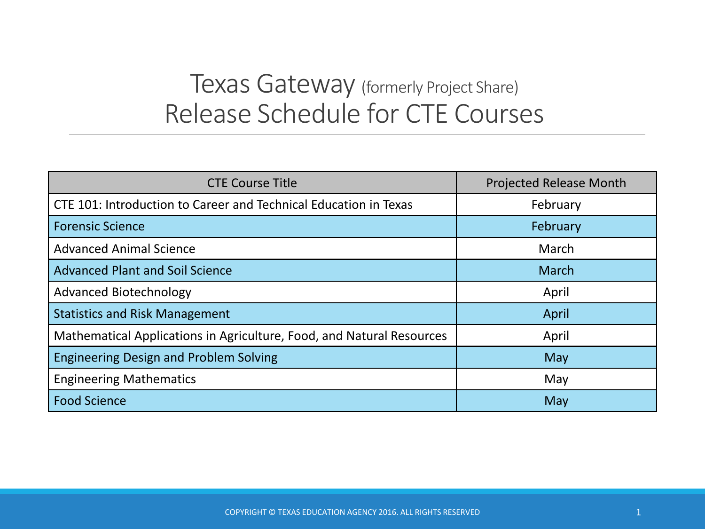# Texas Gateway (formerly Project Share) Release Schedule for CTE Courses

| <b>CTE Course Title</b>                                               | <b>Projected Release Month</b> |
|-----------------------------------------------------------------------|--------------------------------|
| CTE 101: Introduction to Career and Technical Education in Texas      | February                       |
| <b>Forensic Science</b>                                               | February                       |
| <b>Advanced Animal Science</b>                                        | March                          |
| <b>Advanced Plant and Soil Science</b>                                | March                          |
| Advanced Biotechnology                                                | April                          |
| <b>Statistics and Risk Management</b>                                 | April                          |
| Mathematical Applications in Agriculture, Food, and Natural Resources | April                          |
| <b>Engineering Design and Problem Solving</b>                         | May                            |
| <b>Engineering Mathematics</b>                                        | May                            |
| <b>Food Science</b>                                                   | May                            |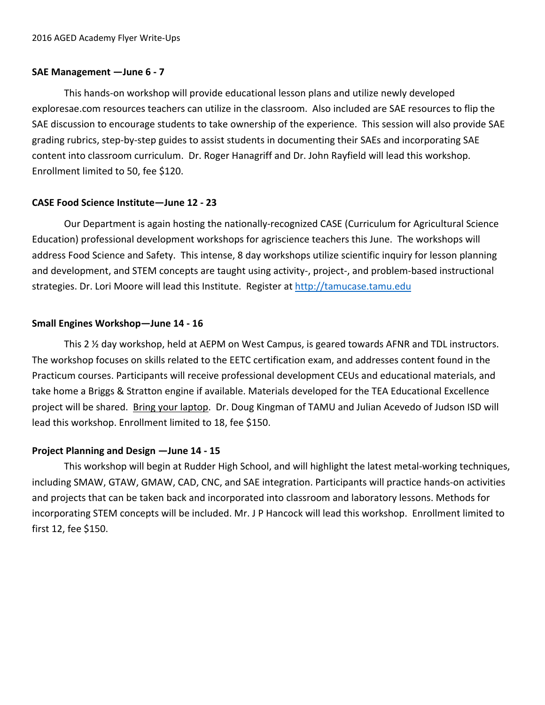#### **SAE Management —June 6 ‐ 7**

 This hands‐on workshop will provide educational lesson plans and utilize newly developed exploresae.com resources teachers can utilize in the classroom. Also included are SAE resources to flip the SAE discussion to encourage students to take ownership of the experience. This session will also provide SAE grading rubrics, step‐by‐step guides to assist students in documenting their SAEs and incorporating SAE content into classroom curriculum. Dr. Roger Hanagriff and Dr. John Rayfield will lead this workshop. Enrollment limited to 50, fee \$120.

## **CASE Food Science Institute—June 12 ‐ 23**

Our Department is again hosting the nationally-recognized CASE (Curriculum for Agricultural Science Education) professional development workshops for agriscience teachers this June. The workshops will address Food Science and Safety. This intense, 8 day workshops utilize scientific inquiry for lesson planning and development, and STEM concepts are taught using activity-, project-, and problem-based instructional strategies. Dr. Lori Moore will lead this Institute. Register at http://tamucase.tamu.edu

#### **Small Engines Workshop—June 14 ‐ 16**

 This 2 ½ day workshop, held at AEPM on West Campus, is geared towards AFNR and TDL instructors. The workshop focuses on skills related to the EETC certification exam, and addresses content found in the Practicum courses. Participants will receive professional development CEUs and educational materials, and take home a Briggs & Stratton engine if available. Materials developed for the TEA Educational Excellence project will be shared. Bring your laptop. Dr. Doug Kingman of TAMU and Julian Acevedo of Judson ISD will lead this workshop. Enrollment limited to 18, fee \$150.

## **Project Planning and Design —June 14 ‐ 15**

 This workshop will begin at Rudder High School, and will highlight the latest metal‐working techniques, including SMAW, GTAW, GMAW, CAD, CNC, and SAE integration. Participants will practice hands‐on activities and projects that can be taken back and incorporated into classroom and laboratory lessons. Methods for incorporating STEM concepts will be included. Mr. J P Hancock will lead this workshop. Enrollment limited to first 12, fee \$150.